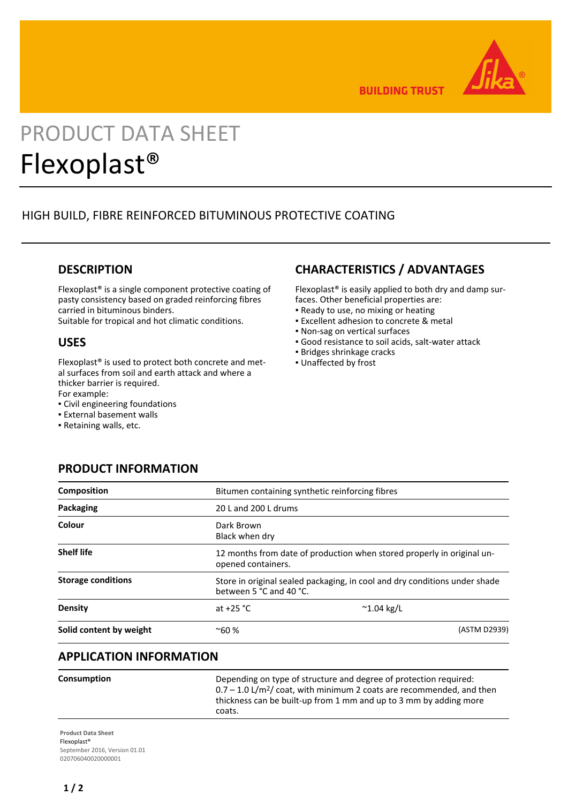

**BUILDING TRUST** 

# PRODUCT DATA SHEET Flexoplast®

# HIGH BUILD, FIBRE REINFORCED BITUMINOUS PROTECTIVE COATING

# **DESCRIPTION**

Flexoplast® is a single component protective coating of pasty consistency based on graded reinforcing fibres carried in bituminous binders.

Suitable for tropical and hot climatic conditions.

## **USES**

Flexoplast® is used to protect both concrete and metal surfaces from soil and earth attack and where a thicker barrier is required. For example:

▪ Civil engineering foundations

**PRODUCT INFORMATION**

- **External basement walls**
- Retaining walls, etc.

# **CHARACTERISTICS / ADVANTAGES**

Flexoplast® is easily applied to both dry and damp surfaces. Other beneficial properties are:

- Ready to use, no mixing or heating
- **Excellent adhesion to concrete & metal**
- Non-sag on vertical surfaces
- Good resistance to soil acids, salt-water attack
- Bridges shrinkage cracks
- Unaffected by frost

| <b>Composition</b>        | Bitumen containing synthetic reinforcing fibres                                                       |                     |              |
|---------------------------|-------------------------------------------------------------------------------------------------------|---------------------|--------------|
| Packaging                 | 20 L and 200 L drums                                                                                  |                     |              |
| Colour                    | Dark Brown<br>Black when dry                                                                          |                     |              |
| <b>Shelf life</b>         | 12 months from date of production when stored properly in original un-<br>opened containers.          |                     |              |
| <b>Storage conditions</b> | Store in original sealed packaging, in cool and dry conditions under shade<br>between 5 °C and 40 °C. |                     |              |
| Density                   | at $+25$ °C                                                                                           | $^{\sim}$ 1.04 kg/L |              |
| Solid content by weight   | $~10\%$                                                                                               |                     | (ASTM D2939) |

# **APPLICATION INFORMATION**

**Consumption Depending on type of structure and degree of protection required:**  $0.7 - 1.0$  L/m<sup>2</sup>/ coat, with minimum 2 coats are recommended, and then thickness can be built-up from 1 mm and up to 3 mm by adding more coats.

**Product Data Sheet** Flexoplast® September 2016, Version 01.01 020706040020000001